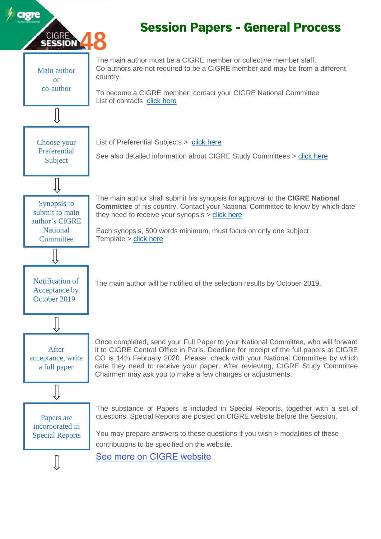